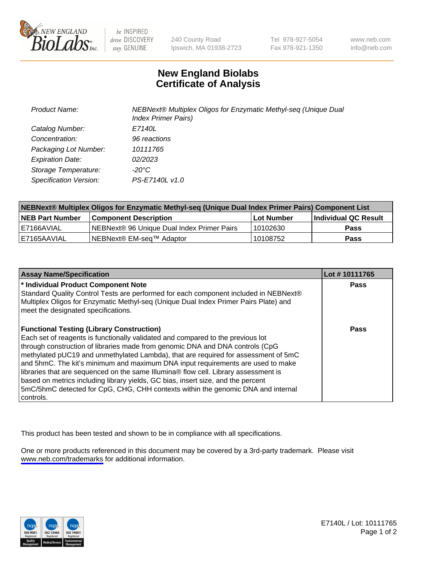

be INSPIRED drive DISCOVERY stay GENUINE

240 County Road Ipswich, MA 01938-2723 Tel 978-927-5054 Fax 978-921-1350

www.neb.com info@neb.com

## **New England Biolabs Certificate of Analysis**

| <b>Product Name:</b>    | NEBNext® Multiplex Oligos for Enzymatic Methyl-seq (Unique Dual<br><b>Index Primer Pairs)</b> |
|-------------------------|-----------------------------------------------------------------------------------------------|
| Catalog Number:         | E7140L                                                                                        |
| Concentration:          | 96 reactions                                                                                  |
| Packaging Lot Number:   | 10111765                                                                                      |
| <b>Expiration Date:</b> | 02/2023                                                                                       |
| Storage Temperature:    | -20°C                                                                                         |
| Specification Version:  | PS-E7140L v1.0                                                                                |

| NEBNext® Multiplex Oligos for Enzymatic Methyl-seq (Unique Dual Index Primer Pairs) Component List |                                                   |            |                      |  |
|----------------------------------------------------------------------------------------------------|---------------------------------------------------|------------|----------------------|--|
| <b>NEB Part Number</b>                                                                             | <b>Component Description</b>                      | Lot Number | Individual QC Result |  |
| I E7166AVIAL                                                                                       | <b>NEBNext® 96 Unique Dual Index Primer Pairs</b> | 10102630   | <b>Pass</b>          |  |
| I E7165AAVIAL                                                                                      | NEBNext® EM-seq™ Adaptor                          | 10108752   | <b>Pass</b>          |  |

| <b>Assay Name/Specification</b>                                                                                                                                                                                                                                                                                                                                                                                                                                                                                                                                                                                                                                             | Lot #10111765 |
|-----------------------------------------------------------------------------------------------------------------------------------------------------------------------------------------------------------------------------------------------------------------------------------------------------------------------------------------------------------------------------------------------------------------------------------------------------------------------------------------------------------------------------------------------------------------------------------------------------------------------------------------------------------------------------|---------------|
| * Individual Product Component Note<br>Standard Quality Control Tests are performed for each component included in NEBNext®<br>Multiplex Oligos for Enzymatic Methyl-seq (Unique Dual Index Primer Pairs Plate) and<br>meet the designated specifications.                                                                                                                                                                                                                                                                                                                                                                                                                  | <b>Pass</b>   |
| <b>Functional Testing (Library Construction)</b><br>Each set of reagents is functionally validated and compared to the previous lot<br>through construction of libraries made from genomic DNA and DNA controls (CpG<br>methylated pUC19 and unmethylated Lambda), that are required for assessment of 5mC<br>and 5hmC. The kit's minimum and maximum DNA input requirements are used to make<br>libraries that are sequenced on the same Illumina® flow cell. Library assessment is<br>based on metrics including library yields, GC bias, insert size, and the percent<br>5mC/5hmC detected for CpG, CHG, CHH contexts within the genomic DNA and internal<br>l controls. | Pass          |

This product has been tested and shown to be in compliance with all specifications.

One or more products referenced in this document may be covered by a 3rd-party trademark. Please visit <www.neb.com/trademarks>for additional information.